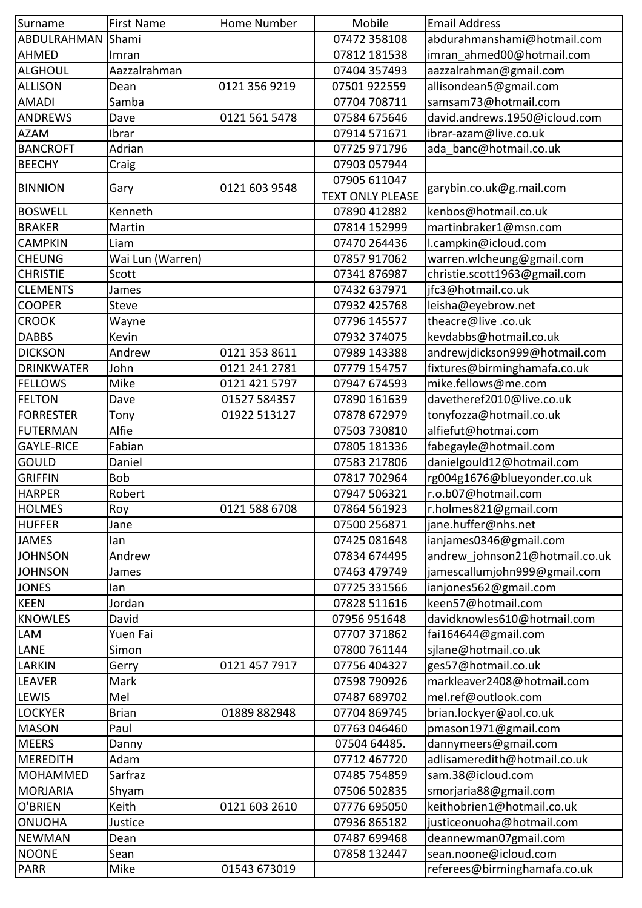| 07472 358108<br>Shami<br>abdurahmanshami@hotmail.com<br>07812 181538<br>imran_ahmed00@hotmail.com<br>Imran<br>Aazzalrahman<br>07404 357493<br>aazzalrahman@gmail.com<br>allisondean5@gmail.com<br>0121 356 9219<br>07501922559<br>Dean<br>samsam73@hotmail.com<br>Samba<br>07704 708711<br>david.andrews.1950@icloud.com<br>0121 561 5478<br>07584 675646<br>Dave<br>07914 571671<br>ibrar-azam@live.co.uk<br>Ibrar<br>Adrian<br>07725 971796<br>ada_banc@hotmail.co.uk<br>07903 057944<br>Craig<br>07905 611047<br><b>BINNION</b><br>0121 603 9548<br>garybin.co.uk@g.mail.com<br>Gary<br><b>TEXT ONLY PLEASE</b><br>Kenneth<br>07890 412882<br>kenbos@hotmail.co.uk<br>07814 152999<br>martinbraker1@msn.com<br>Martin<br>07470 264436<br>Liam<br>l.campkin@icloud.com<br>07857 917062<br>warren.wlcheung@gmail.com<br>Wai Lun (Warren)<br>Scott<br>07341876987<br>christie.scott1963@gmail.com<br>jfc3@hotmail.co.uk<br>07432 637971<br>James<br><b>COOPER</b><br><b>Steve</b><br>07932 425768<br>leisha@eyebrow.net<br>theacre@live.co.uk<br><b>CROOK</b><br>07796 145577<br>Wayne<br>kevdabbs@hotmail.co.uk<br><b>DABBS</b><br>Kevin<br>07932 374075<br>0121 353 8611<br>07989 143388<br><b>DICKSON</b><br>Andrew<br>andrewjdickson999@hotmail.com<br><b>DRINKWATER</b><br>0121 241 2781<br>fixtures@birminghamafa.co.uk<br>John<br>07779 154757<br><b>FELLOWS</b><br>0121 421 5797<br>07947 674593<br>mike.fellows@me.com<br>Mike<br>davetheref2010@live.co.uk<br><b>FELTON</b><br>Dave<br>01527 584357<br>07890 161639<br>FORRESTER<br>01922 513127<br>tonyfozza@hotmail.co.uk<br>07878 672979<br>Tony<br>Alfie<br><b>FUTERMAN</b><br>07503 730810<br>alfiefut@hotmai.com<br><b>GAYLE-RICE</b><br>Fabian<br>07805 181336<br>fabegayle@hotmail.com<br>GOULD<br>07583 217806<br>danielgould12@hotmail.com<br>Daniel<br><b>GRIFFIN</b><br><b>Bob</b><br>07817 702964<br>rg004g1676@blueyonder.co.uk<br><b>HARPER</b><br>Robert<br>r.o.b07@hotmail.com<br>07947 506321<br><b>HOLMES</b><br>0121 588 6708<br>07864 561923<br>r.holmes821@gmail.com<br>Roy<br>jane.huffer@nhs.net<br><b>HUFFER</b><br>07500 256871<br>Jane<br>ianjames0346@gmail.com<br><b>JAMES</b><br>07425 081648<br>lan<br><b>JOHNSON</b><br>andrew_johnson21@hotmail.co.uk<br>Andrew<br>07834 674495<br>jamescallumjohn999@gmail.com<br><b>JOHNSON</b><br>07463 479749<br>James<br><b>JONES</b><br>ianjones562@gmail.com<br>07725 331566<br>lan<br><b>KEEN</b><br>Jordan<br>keen57@hotmail.com<br>07828 511616<br>davidknowles610@hotmail.com<br><b>KNOWLES</b><br>07956 951648<br>David<br><b>LAM</b><br>fai164644@gmail.com<br>Yuen Fai<br>07707 371862<br>sjlane@hotmail.co.uk<br><b>LANE</b><br>Simon<br>07800 761144<br>0121 457 7917<br>07756 404327<br>ges57@hotmail.co.uk<br>LARKIN<br>Gerry<br>markleaver2408@hotmail.com<br><b>LEAVER</b><br>Mark<br>07598 790926<br><b>LEWIS</b><br>mel.ref@outlook.com<br>07487 689702<br>Mel<br><b>LOCKYER</b><br>brian.lockyer@aol.co.uk<br><b>Brian</b><br>01889 882948<br>07704 869745<br>pmason1971@gmail.com<br><b>MASON</b><br>Paul<br>07763 046460<br><b>MEERS</b><br>07504 64485.<br>dannymeers@gmail.com<br>Danny<br>adlisameredith@hotmail.co.uk<br>IMEREDITH<br>Adam<br>07712 467720<br>sam.38@icloud.com<br>MOHAMMED<br>Sarfraz<br>07485 754859<br>smorjaria88@gmail.com<br><b>MORJARIA</b><br>07506 502835<br>Shyam<br>O'BRIEN<br>07776 695050<br>keithobrien1@hotmail.co.uk<br>Keith<br>0121 603 2610<br>justiceonuoha@hotmail.com<br>ONUOHA<br>07936 865182<br>Justice<br>NEWMAN<br>Dean<br>deannewman07gmail.com<br>07487 699468<br><b>NOONE</b><br>Sean<br>07858 132447<br>sean.noone@icloud.com | Surname         | <b>First Name</b> | <b>Home Number</b> | Mobile | <b>Email Address</b>         |
|--------------------------------------------------------------------------------------------------------------------------------------------------------------------------------------------------------------------------------------------------------------------------------------------------------------------------------------------------------------------------------------------------------------------------------------------------------------------------------------------------------------------------------------------------------------------------------------------------------------------------------------------------------------------------------------------------------------------------------------------------------------------------------------------------------------------------------------------------------------------------------------------------------------------------------------------------------------------------------------------------------------------------------------------------------------------------------------------------------------------------------------------------------------------------------------------------------------------------------------------------------------------------------------------------------------------------------------------------------------------------------------------------------------------------------------------------------------------------------------------------------------------------------------------------------------------------------------------------------------------------------------------------------------------------------------------------------------------------------------------------------------------------------------------------------------------------------------------------------------------------------------------------------------------------------------------------------------------------------------------------------------------------------------------------------------------------------------------------------------------------------------------------------------------------------------------------------------------------------------------------------------------------------------------------------------------------------------------------------------------------------------------------------------------------------------------------------------------------------------------------------------------------------------------------------------------------------------------------------------------------------------------------------------------------------------------------------------------------------------------------------------------------------------------------------------------------------------------------------------------------------------------------------------------------------------------------------------------------------------------------------------------------------------------------------------------------------------------------------------------------------------------------------------------------------------------------------------------------------------------------------------------------------------------------------------------------------------------------------------------------------------------------------------------------------------------------------------------------------------------------------------------------------------------------------------------------------------------------------------------------------------|-----------------|-------------------|--------------------|--------|------------------------------|
|                                                                                                                                                                                                                                                                                                                                                                                                                                                                                                                                                                                                                                                                                                                                                                                                                                                                                                                                                                                                                                                                                                                                                                                                                                                                                                                                                                                                                                                                                                                                                                                                                                                                                                                                                                                                                                                                                                                                                                                                                                                                                                                                                                                                                                                                                                                                                                                                                                                                                                                                                                                                                                                                                                                                                                                                                                                                                                                                                                                                                                                                                                                                                                                                                                                                                                                                                                                                                                                                                                                                                                                                                                      | ABDULRAHMAN     |                   |                    |        |                              |
|                                                                                                                                                                                                                                                                                                                                                                                                                                                                                                                                                                                                                                                                                                                                                                                                                                                                                                                                                                                                                                                                                                                                                                                                                                                                                                                                                                                                                                                                                                                                                                                                                                                                                                                                                                                                                                                                                                                                                                                                                                                                                                                                                                                                                                                                                                                                                                                                                                                                                                                                                                                                                                                                                                                                                                                                                                                                                                                                                                                                                                                                                                                                                                                                                                                                                                                                                                                                                                                                                                                                                                                                                                      | <b>AHMED</b>    |                   |                    |        |                              |
|                                                                                                                                                                                                                                                                                                                                                                                                                                                                                                                                                                                                                                                                                                                                                                                                                                                                                                                                                                                                                                                                                                                                                                                                                                                                                                                                                                                                                                                                                                                                                                                                                                                                                                                                                                                                                                                                                                                                                                                                                                                                                                                                                                                                                                                                                                                                                                                                                                                                                                                                                                                                                                                                                                                                                                                                                                                                                                                                                                                                                                                                                                                                                                                                                                                                                                                                                                                                                                                                                                                                                                                                                                      | <b>ALGHOUL</b>  |                   |                    |        |                              |
|                                                                                                                                                                                                                                                                                                                                                                                                                                                                                                                                                                                                                                                                                                                                                                                                                                                                                                                                                                                                                                                                                                                                                                                                                                                                                                                                                                                                                                                                                                                                                                                                                                                                                                                                                                                                                                                                                                                                                                                                                                                                                                                                                                                                                                                                                                                                                                                                                                                                                                                                                                                                                                                                                                                                                                                                                                                                                                                                                                                                                                                                                                                                                                                                                                                                                                                                                                                                                                                                                                                                                                                                                                      | <b>ALLISON</b>  |                   |                    |        |                              |
|                                                                                                                                                                                                                                                                                                                                                                                                                                                                                                                                                                                                                                                                                                                                                                                                                                                                                                                                                                                                                                                                                                                                                                                                                                                                                                                                                                                                                                                                                                                                                                                                                                                                                                                                                                                                                                                                                                                                                                                                                                                                                                                                                                                                                                                                                                                                                                                                                                                                                                                                                                                                                                                                                                                                                                                                                                                                                                                                                                                                                                                                                                                                                                                                                                                                                                                                                                                                                                                                                                                                                                                                                                      | <b>AMADI</b>    |                   |                    |        |                              |
|                                                                                                                                                                                                                                                                                                                                                                                                                                                                                                                                                                                                                                                                                                                                                                                                                                                                                                                                                                                                                                                                                                                                                                                                                                                                                                                                                                                                                                                                                                                                                                                                                                                                                                                                                                                                                                                                                                                                                                                                                                                                                                                                                                                                                                                                                                                                                                                                                                                                                                                                                                                                                                                                                                                                                                                                                                                                                                                                                                                                                                                                                                                                                                                                                                                                                                                                                                                                                                                                                                                                                                                                                                      | <b>ANDREWS</b>  |                   |                    |        |                              |
|                                                                                                                                                                                                                                                                                                                                                                                                                                                                                                                                                                                                                                                                                                                                                                                                                                                                                                                                                                                                                                                                                                                                                                                                                                                                                                                                                                                                                                                                                                                                                                                                                                                                                                                                                                                                                                                                                                                                                                                                                                                                                                                                                                                                                                                                                                                                                                                                                                                                                                                                                                                                                                                                                                                                                                                                                                                                                                                                                                                                                                                                                                                                                                                                                                                                                                                                                                                                                                                                                                                                                                                                                                      | <b>AZAM</b>     |                   |                    |        |                              |
|                                                                                                                                                                                                                                                                                                                                                                                                                                                                                                                                                                                                                                                                                                                                                                                                                                                                                                                                                                                                                                                                                                                                                                                                                                                                                                                                                                                                                                                                                                                                                                                                                                                                                                                                                                                                                                                                                                                                                                                                                                                                                                                                                                                                                                                                                                                                                                                                                                                                                                                                                                                                                                                                                                                                                                                                                                                                                                                                                                                                                                                                                                                                                                                                                                                                                                                                                                                                                                                                                                                                                                                                                                      | <b>BANCROFT</b> |                   |                    |        |                              |
|                                                                                                                                                                                                                                                                                                                                                                                                                                                                                                                                                                                                                                                                                                                                                                                                                                                                                                                                                                                                                                                                                                                                                                                                                                                                                                                                                                                                                                                                                                                                                                                                                                                                                                                                                                                                                                                                                                                                                                                                                                                                                                                                                                                                                                                                                                                                                                                                                                                                                                                                                                                                                                                                                                                                                                                                                                                                                                                                                                                                                                                                                                                                                                                                                                                                                                                                                                                                                                                                                                                                                                                                                                      | <b>BEECHY</b>   |                   |                    |        |                              |
|                                                                                                                                                                                                                                                                                                                                                                                                                                                                                                                                                                                                                                                                                                                                                                                                                                                                                                                                                                                                                                                                                                                                                                                                                                                                                                                                                                                                                                                                                                                                                                                                                                                                                                                                                                                                                                                                                                                                                                                                                                                                                                                                                                                                                                                                                                                                                                                                                                                                                                                                                                                                                                                                                                                                                                                                                                                                                                                                                                                                                                                                                                                                                                                                                                                                                                                                                                                                                                                                                                                                                                                                                                      |                 |                   |                    |        |                              |
|                                                                                                                                                                                                                                                                                                                                                                                                                                                                                                                                                                                                                                                                                                                                                                                                                                                                                                                                                                                                                                                                                                                                                                                                                                                                                                                                                                                                                                                                                                                                                                                                                                                                                                                                                                                                                                                                                                                                                                                                                                                                                                                                                                                                                                                                                                                                                                                                                                                                                                                                                                                                                                                                                                                                                                                                                                                                                                                                                                                                                                                                                                                                                                                                                                                                                                                                                                                                                                                                                                                                                                                                                                      |                 |                   |                    |        |                              |
|                                                                                                                                                                                                                                                                                                                                                                                                                                                                                                                                                                                                                                                                                                                                                                                                                                                                                                                                                                                                                                                                                                                                                                                                                                                                                                                                                                                                                                                                                                                                                                                                                                                                                                                                                                                                                                                                                                                                                                                                                                                                                                                                                                                                                                                                                                                                                                                                                                                                                                                                                                                                                                                                                                                                                                                                                                                                                                                                                                                                                                                                                                                                                                                                                                                                                                                                                                                                                                                                                                                                                                                                                                      | <b>BOSWELL</b>  |                   |                    |        |                              |
|                                                                                                                                                                                                                                                                                                                                                                                                                                                                                                                                                                                                                                                                                                                                                                                                                                                                                                                                                                                                                                                                                                                                                                                                                                                                                                                                                                                                                                                                                                                                                                                                                                                                                                                                                                                                                                                                                                                                                                                                                                                                                                                                                                                                                                                                                                                                                                                                                                                                                                                                                                                                                                                                                                                                                                                                                                                                                                                                                                                                                                                                                                                                                                                                                                                                                                                                                                                                                                                                                                                                                                                                                                      | <b>BRAKER</b>   |                   |                    |        |                              |
|                                                                                                                                                                                                                                                                                                                                                                                                                                                                                                                                                                                                                                                                                                                                                                                                                                                                                                                                                                                                                                                                                                                                                                                                                                                                                                                                                                                                                                                                                                                                                                                                                                                                                                                                                                                                                                                                                                                                                                                                                                                                                                                                                                                                                                                                                                                                                                                                                                                                                                                                                                                                                                                                                                                                                                                                                                                                                                                                                                                                                                                                                                                                                                                                                                                                                                                                                                                                                                                                                                                                                                                                                                      | <b>CAMPKIN</b>  |                   |                    |        |                              |
|                                                                                                                                                                                                                                                                                                                                                                                                                                                                                                                                                                                                                                                                                                                                                                                                                                                                                                                                                                                                                                                                                                                                                                                                                                                                                                                                                                                                                                                                                                                                                                                                                                                                                                                                                                                                                                                                                                                                                                                                                                                                                                                                                                                                                                                                                                                                                                                                                                                                                                                                                                                                                                                                                                                                                                                                                                                                                                                                                                                                                                                                                                                                                                                                                                                                                                                                                                                                                                                                                                                                                                                                                                      | <b>CHEUNG</b>   |                   |                    |        |                              |
|                                                                                                                                                                                                                                                                                                                                                                                                                                                                                                                                                                                                                                                                                                                                                                                                                                                                                                                                                                                                                                                                                                                                                                                                                                                                                                                                                                                                                                                                                                                                                                                                                                                                                                                                                                                                                                                                                                                                                                                                                                                                                                                                                                                                                                                                                                                                                                                                                                                                                                                                                                                                                                                                                                                                                                                                                                                                                                                                                                                                                                                                                                                                                                                                                                                                                                                                                                                                                                                                                                                                                                                                                                      | <b>CHRISTIE</b> |                   |                    |        |                              |
|                                                                                                                                                                                                                                                                                                                                                                                                                                                                                                                                                                                                                                                                                                                                                                                                                                                                                                                                                                                                                                                                                                                                                                                                                                                                                                                                                                                                                                                                                                                                                                                                                                                                                                                                                                                                                                                                                                                                                                                                                                                                                                                                                                                                                                                                                                                                                                                                                                                                                                                                                                                                                                                                                                                                                                                                                                                                                                                                                                                                                                                                                                                                                                                                                                                                                                                                                                                                                                                                                                                                                                                                                                      | <b>CLEMENTS</b> |                   |                    |        |                              |
|                                                                                                                                                                                                                                                                                                                                                                                                                                                                                                                                                                                                                                                                                                                                                                                                                                                                                                                                                                                                                                                                                                                                                                                                                                                                                                                                                                                                                                                                                                                                                                                                                                                                                                                                                                                                                                                                                                                                                                                                                                                                                                                                                                                                                                                                                                                                                                                                                                                                                                                                                                                                                                                                                                                                                                                                                                                                                                                                                                                                                                                                                                                                                                                                                                                                                                                                                                                                                                                                                                                                                                                                                                      |                 |                   |                    |        |                              |
|                                                                                                                                                                                                                                                                                                                                                                                                                                                                                                                                                                                                                                                                                                                                                                                                                                                                                                                                                                                                                                                                                                                                                                                                                                                                                                                                                                                                                                                                                                                                                                                                                                                                                                                                                                                                                                                                                                                                                                                                                                                                                                                                                                                                                                                                                                                                                                                                                                                                                                                                                                                                                                                                                                                                                                                                                                                                                                                                                                                                                                                                                                                                                                                                                                                                                                                                                                                                                                                                                                                                                                                                                                      |                 |                   |                    |        |                              |
|                                                                                                                                                                                                                                                                                                                                                                                                                                                                                                                                                                                                                                                                                                                                                                                                                                                                                                                                                                                                                                                                                                                                                                                                                                                                                                                                                                                                                                                                                                                                                                                                                                                                                                                                                                                                                                                                                                                                                                                                                                                                                                                                                                                                                                                                                                                                                                                                                                                                                                                                                                                                                                                                                                                                                                                                                                                                                                                                                                                                                                                                                                                                                                                                                                                                                                                                                                                                                                                                                                                                                                                                                                      |                 |                   |                    |        |                              |
|                                                                                                                                                                                                                                                                                                                                                                                                                                                                                                                                                                                                                                                                                                                                                                                                                                                                                                                                                                                                                                                                                                                                                                                                                                                                                                                                                                                                                                                                                                                                                                                                                                                                                                                                                                                                                                                                                                                                                                                                                                                                                                                                                                                                                                                                                                                                                                                                                                                                                                                                                                                                                                                                                                                                                                                                                                                                                                                                                                                                                                                                                                                                                                                                                                                                                                                                                                                                                                                                                                                                                                                                                                      |                 |                   |                    |        |                              |
|                                                                                                                                                                                                                                                                                                                                                                                                                                                                                                                                                                                                                                                                                                                                                                                                                                                                                                                                                                                                                                                                                                                                                                                                                                                                                                                                                                                                                                                                                                                                                                                                                                                                                                                                                                                                                                                                                                                                                                                                                                                                                                                                                                                                                                                                                                                                                                                                                                                                                                                                                                                                                                                                                                                                                                                                                                                                                                                                                                                                                                                                                                                                                                                                                                                                                                                                                                                                                                                                                                                                                                                                                                      |                 |                   |                    |        |                              |
|                                                                                                                                                                                                                                                                                                                                                                                                                                                                                                                                                                                                                                                                                                                                                                                                                                                                                                                                                                                                                                                                                                                                                                                                                                                                                                                                                                                                                                                                                                                                                                                                                                                                                                                                                                                                                                                                                                                                                                                                                                                                                                                                                                                                                                                                                                                                                                                                                                                                                                                                                                                                                                                                                                                                                                                                                                                                                                                                                                                                                                                                                                                                                                                                                                                                                                                                                                                                                                                                                                                                                                                                                                      |                 |                   |                    |        |                              |
|                                                                                                                                                                                                                                                                                                                                                                                                                                                                                                                                                                                                                                                                                                                                                                                                                                                                                                                                                                                                                                                                                                                                                                                                                                                                                                                                                                                                                                                                                                                                                                                                                                                                                                                                                                                                                                                                                                                                                                                                                                                                                                                                                                                                                                                                                                                                                                                                                                                                                                                                                                                                                                                                                                                                                                                                                                                                                                                                                                                                                                                                                                                                                                                                                                                                                                                                                                                                                                                                                                                                                                                                                                      |                 |                   |                    |        |                              |
|                                                                                                                                                                                                                                                                                                                                                                                                                                                                                                                                                                                                                                                                                                                                                                                                                                                                                                                                                                                                                                                                                                                                                                                                                                                                                                                                                                                                                                                                                                                                                                                                                                                                                                                                                                                                                                                                                                                                                                                                                                                                                                                                                                                                                                                                                                                                                                                                                                                                                                                                                                                                                                                                                                                                                                                                                                                                                                                                                                                                                                                                                                                                                                                                                                                                                                                                                                                                                                                                                                                                                                                                                                      |                 |                   |                    |        |                              |
|                                                                                                                                                                                                                                                                                                                                                                                                                                                                                                                                                                                                                                                                                                                                                                                                                                                                                                                                                                                                                                                                                                                                                                                                                                                                                                                                                                                                                                                                                                                                                                                                                                                                                                                                                                                                                                                                                                                                                                                                                                                                                                                                                                                                                                                                                                                                                                                                                                                                                                                                                                                                                                                                                                                                                                                                                                                                                                                                                                                                                                                                                                                                                                                                                                                                                                                                                                                                                                                                                                                                                                                                                                      |                 |                   |                    |        |                              |
|                                                                                                                                                                                                                                                                                                                                                                                                                                                                                                                                                                                                                                                                                                                                                                                                                                                                                                                                                                                                                                                                                                                                                                                                                                                                                                                                                                                                                                                                                                                                                                                                                                                                                                                                                                                                                                                                                                                                                                                                                                                                                                                                                                                                                                                                                                                                                                                                                                                                                                                                                                                                                                                                                                                                                                                                                                                                                                                                                                                                                                                                                                                                                                                                                                                                                                                                                                                                                                                                                                                                                                                                                                      |                 |                   |                    |        |                              |
|                                                                                                                                                                                                                                                                                                                                                                                                                                                                                                                                                                                                                                                                                                                                                                                                                                                                                                                                                                                                                                                                                                                                                                                                                                                                                                                                                                                                                                                                                                                                                                                                                                                                                                                                                                                                                                                                                                                                                                                                                                                                                                                                                                                                                                                                                                                                                                                                                                                                                                                                                                                                                                                                                                                                                                                                                                                                                                                                                                                                                                                                                                                                                                                                                                                                                                                                                                                                                                                                                                                                                                                                                                      |                 |                   |                    |        |                              |
|                                                                                                                                                                                                                                                                                                                                                                                                                                                                                                                                                                                                                                                                                                                                                                                                                                                                                                                                                                                                                                                                                                                                                                                                                                                                                                                                                                                                                                                                                                                                                                                                                                                                                                                                                                                                                                                                                                                                                                                                                                                                                                                                                                                                                                                                                                                                                                                                                                                                                                                                                                                                                                                                                                                                                                                                                                                                                                                                                                                                                                                                                                                                                                                                                                                                                                                                                                                                                                                                                                                                                                                                                                      |                 |                   |                    |        |                              |
|                                                                                                                                                                                                                                                                                                                                                                                                                                                                                                                                                                                                                                                                                                                                                                                                                                                                                                                                                                                                                                                                                                                                                                                                                                                                                                                                                                                                                                                                                                                                                                                                                                                                                                                                                                                                                                                                                                                                                                                                                                                                                                                                                                                                                                                                                                                                                                                                                                                                                                                                                                                                                                                                                                                                                                                                                                                                                                                                                                                                                                                                                                                                                                                                                                                                                                                                                                                                                                                                                                                                                                                                                                      |                 |                   |                    |        |                              |
|                                                                                                                                                                                                                                                                                                                                                                                                                                                                                                                                                                                                                                                                                                                                                                                                                                                                                                                                                                                                                                                                                                                                                                                                                                                                                                                                                                                                                                                                                                                                                                                                                                                                                                                                                                                                                                                                                                                                                                                                                                                                                                                                                                                                                                                                                                                                                                                                                                                                                                                                                                                                                                                                                                                                                                                                                                                                                                                                                                                                                                                                                                                                                                                                                                                                                                                                                                                                                                                                                                                                                                                                                                      |                 |                   |                    |        |                              |
|                                                                                                                                                                                                                                                                                                                                                                                                                                                                                                                                                                                                                                                                                                                                                                                                                                                                                                                                                                                                                                                                                                                                                                                                                                                                                                                                                                                                                                                                                                                                                                                                                                                                                                                                                                                                                                                                                                                                                                                                                                                                                                                                                                                                                                                                                                                                                                                                                                                                                                                                                                                                                                                                                                                                                                                                                                                                                                                                                                                                                                                                                                                                                                                                                                                                                                                                                                                                                                                                                                                                                                                                                                      |                 |                   |                    |        |                              |
|                                                                                                                                                                                                                                                                                                                                                                                                                                                                                                                                                                                                                                                                                                                                                                                                                                                                                                                                                                                                                                                                                                                                                                                                                                                                                                                                                                                                                                                                                                                                                                                                                                                                                                                                                                                                                                                                                                                                                                                                                                                                                                                                                                                                                                                                                                                                                                                                                                                                                                                                                                                                                                                                                                                                                                                                                                                                                                                                                                                                                                                                                                                                                                                                                                                                                                                                                                                                                                                                                                                                                                                                                                      |                 |                   |                    |        |                              |
|                                                                                                                                                                                                                                                                                                                                                                                                                                                                                                                                                                                                                                                                                                                                                                                                                                                                                                                                                                                                                                                                                                                                                                                                                                                                                                                                                                                                                                                                                                                                                                                                                                                                                                                                                                                                                                                                                                                                                                                                                                                                                                                                                                                                                                                                                                                                                                                                                                                                                                                                                                                                                                                                                                                                                                                                                                                                                                                                                                                                                                                                                                                                                                                                                                                                                                                                                                                                                                                                                                                                                                                                                                      |                 |                   |                    |        |                              |
|                                                                                                                                                                                                                                                                                                                                                                                                                                                                                                                                                                                                                                                                                                                                                                                                                                                                                                                                                                                                                                                                                                                                                                                                                                                                                                                                                                                                                                                                                                                                                                                                                                                                                                                                                                                                                                                                                                                                                                                                                                                                                                                                                                                                                                                                                                                                                                                                                                                                                                                                                                                                                                                                                                                                                                                                                                                                                                                                                                                                                                                                                                                                                                                                                                                                                                                                                                                                                                                                                                                                                                                                                                      |                 |                   |                    |        |                              |
|                                                                                                                                                                                                                                                                                                                                                                                                                                                                                                                                                                                                                                                                                                                                                                                                                                                                                                                                                                                                                                                                                                                                                                                                                                                                                                                                                                                                                                                                                                                                                                                                                                                                                                                                                                                                                                                                                                                                                                                                                                                                                                                                                                                                                                                                                                                                                                                                                                                                                                                                                                                                                                                                                                                                                                                                                                                                                                                                                                                                                                                                                                                                                                                                                                                                                                                                                                                                                                                                                                                                                                                                                                      |                 |                   |                    |        |                              |
|                                                                                                                                                                                                                                                                                                                                                                                                                                                                                                                                                                                                                                                                                                                                                                                                                                                                                                                                                                                                                                                                                                                                                                                                                                                                                                                                                                                                                                                                                                                                                                                                                                                                                                                                                                                                                                                                                                                                                                                                                                                                                                                                                                                                                                                                                                                                                                                                                                                                                                                                                                                                                                                                                                                                                                                                                                                                                                                                                                                                                                                                                                                                                                                                                                                                                                                                                                                                                                                                                                                                                                                                                                      |                 |                   |                    |        |                              |
|                                                                                                                                                                                                                                                                                                                                                                                                                                                                                                                                                                                                                                                                                                                                                                                                                                                                                                                                                                                                                                                                                                                                                                                                                                                                                                                                                                                                                                                                                                                                                                                                                                                                                                                                                                                                                                                                                                                                                                                                                                                                                                                                                                                                                                                                                                                                                                                                                                                                                                                                                                                                                                                                                                                                                                                                                                                                                                                                                                                                                                                                                                                                                                                                                                                                                                                                                                                                                                                                                                                                                                                                                                      |                 |                   |                    |        |                              |
|                                                                                                                                                                                                                                                                                                                                                                                                                                                                                                                                                                                                                                                                                                                                                                                                                                                                                                                                                                                                                                                                                                                                                                                                                                                                                                                                                                                                                                                                                                                                                                                                                                                                                                                                                                                                                                                                                                                                                                                                                                                                                                                                                                                                                                                                                                                                                                                                                                                                                                                                                                                                                                                                                                                                                                                                                                                                                                                                                                                                                                                                                                                                                                                                                                                                                                                                                                                                                                                                                                                                                                                                                                      |                 |                   |                    |        |                              |
|                                                                                                                                                                                                                                                                                                                                                                                                                                                                                                                                                                                                                                                                                                                                                                                                                                                                                                                                                                                                                                                                                                                                                                                                                                                                                                                                                                                                                                                                                                                                                                                                                                                                                                                                                                                                                                                                                                                                                                                                                                                                                                                                                                                                                                                                                                                                                                                                                                                                                                                                                                                                                                                                                                                                                                                                                                                                                                                                                                                                                                                                                                                                                                                                                                                                                                                                                                                                                                                                                                                                                                                                                                      |                 |                   |                    |        |                              |
|                                                                                                                                                                                                                                                                                                                                                                                                                                                                                                                                                                                                                                                                                                                                                                                                                                                                                                                                                                                                                                                                                                                                                                                                                                                                                                                                                                                                                                                                                                                                                                                                                                                                                                                                                                                                                                                                                                                                                                                                                                                                                                                                                                                                                                                                                                                                                                                                                                                                                                                                                                                                                                                                                                                                                                                                                                                                                                                                                                                                                                                                                                                                                                                                                                                                                                                                                                                                                                                                                                                                                                                                                                      |                 |                   |                    |        |                              |
|                                                                                                                                                                                                                                                                                                                                                                                                                                                                                                                                                                                                                                                                                                                                                                                                                                                                                                                                                                                                                                                                                                                                                                                                                                                                                                                                                                                                                                                                                                                                                                                                                                                                                                                                                                                                                                                                                                                                                                                                                                                                                                                                                                                                                                                                                                                                                                                                                                                                                                                                                                                                                                                                                                                                                                                                                                                                                                                                                                                                                                                                                                                                                                                                                                                                                                                                                                                                                                                                                                                                                                                                                                      |                 |                   |                    |        |                              |
|                                                                                                                                                                                                                                                                                                                                                                                                                                                                                                                                                                                                                                                                                                                                                                                                                                                                                                                                                                                                                                                                                                                                                                                                                                                                                                                                                                                                                                                                                                                                                                                                                                                                                                                                                                                                                                                                                                                                                                                                                                                                                                                                                                                                                                                                                                                                                                                                                                                                                                                                                                                                                                                                                                                                                                                                                                                                                                                                                                                                                                                                                                                                                                                                                                                                                                                                                                                                                                                                                                                                                                                                                                      |                 |                   |                    |        |                              |
|                                                                                                                                                                                                                                                                                                                                                                                                                                                                                                                                                                                                                                                                                                                                                                                                                                                                                                                                                                                                                                                                                                                                                                                                                                                                                                                                                                                                                                                                                                                                                                                                                                                                                                                                                                                                                                                                                                                                                                                                                                                                                                                                                                                                                                                                                                                                                                                                                                                                                                                                                                                                                                                                                                                                                                                                                                                                                                                                                                                                                                                                                                                                                                                                                                                                                                                                                                                                                                                                                                                                                                                                                                      |                 |                   |                    |        |                              |
|                                                                                                                                                                                                                                                                                                                                                                                                                                                                                                                                                                                                                                                                                                                                                                                                                                                                                                                                                                                                                                                                                                                                                                                                                                                                                                                                                                                                                                                                                                                                                                                                                                                                                                                                                                                                                                                                                                                                                                                                                                                                                                                                                                                                                                                                                                                                                                                                                                                                                                                                                                                                                                                                                                                                                                                                                                                                                                                                                                                                                                                                                                                                                                                                                                                                                                                                                                                                                                                                                                                                                                                                                                      |                 |                   |                    |        |                              |
|                                                                                                                                                                                                                                                                                                                                                                                                                                                                                                                                                                                                                                                                                                                                                                                                                                                                                                                                                                                                                                                                                                                                                                                                                                                                                                                                                                                                                                                                                                                                                                                                                                                                                                                                                                                                                                                                                                                                                                                                                                                                                                                                                                                                                                                                                                                                                                                                                                                                                                                                                                                                                                                                                                                                                                                                                                                                                                                                                                                                                                                                                                                                                                                                                                                                                                                                                                                                                                                                                                                                                                                                                                      |                 |                   |                    |        |                              |
|                                                                                                                                                                                                                                                                                                                                                                                                                                                                                                                                                                                                                                                                                                                                                                                                                                                                                                                                                                                                                                                                                                                                                                                                                                                                                                                                                                                                                                                                                                                                                                                                                                                                                                                                                                                                                                                                                                                                                                                                                                                                                                                                                                                                                                                                                                                                                                                                                                                                                                                                                                                                                                                                                                                                                                                                                                                                                                                                                                                                                                                                                                                                                                                                                                                                                                                                                                                                                                                                                                                                                                                                                                      |                 |                   |                    |        |                              |
|                                                                                                                                                                                                                                                                                                                                                                                                                                                                                                                                                                                                                                                                                                                                                                                                                                                                                                                                                                                                                                                                                                                                                                                                                                                                                                                                                                                                                                                                                                                                                                                                                                                                                                                                                                                                                                                                                                                                                                                                                                                                                                                                                                                                                                                                                                                                                                                                                                                                                                                                                                                                                                                                                                                                                                                                                                                                                                                                                                                                                                                                                                                                                                                                                                                                                                                                                                                                                                                                                                                                                                                                                                      |                 |                   |                    |        |                              |
|                                                                                                                                                                                                                                                                                                                                                                                                                                                                                                                                                                                                                                                                                                                                                                                                                                                                                                                                                                                                                                                                                                                                                                                                                                                                                                                                                                                                                                                                                                                                                                                                                                                                                                                                                                                                                                                                                                                                                                                                                                                                                                                                                                                                                                                                                                                                                                                                                                                                                                                                                                                                                                                                                                                                                                                                                                                                                                                                                                                                                                                                                                                                                                                                                                                                                                                                                                                                                                                                                                                                                                                                                                      |                 |                   |                    |        |                              |
|                                                                                                                                                                                                                                                                                                                                                                                                                                                                                                                                                                                                                                                                                                                                                                                                                                                                                                                                                                                                                                                                                                                                                                                                                                                                                                                                                                                                                                                                                                                                                                                                                                                                                                                                                                                                                                                                                                                                                                                                                                                                                                                                                                                                                                                                                                                                                                                                                                                                                                                                                                                                                                                                                                                                                                                                                                                                                                                                                                                                                                                                                                                                                                                                                                                                                                                                                                                                                                                                                                                                                                                                                                      |                 |                   |                    |        |                              |
|                                                                                                                                                                                                                                                                                                                                                                                                                                                                                                                                                                                                                                                                                                                                                                                                                                                                                                                                                                                                                                                                                                                                                                                                                                                                                                                                                                                                                                                                                                                                                                                                                                                                                                                                                                                                                                                                                                                                                                                                                                                                                                                                                                                                                                                                                                                                                                                                                                                                                                                                                                                                                                                                                                                                                                                                                                                                                                                                                                                                                                                                                                                                                                                                                                                                                                                                                                                                                                                                                                                                                                                                                                      |                 |                   |                    |        |                              |
|                                                                                                                                                                                                                                                                                                                                                                                                                                                                                                                                                                                                                                                                                                                                                                                                                                                                                                                                                                                                                                                                                                                                                                                                                                                                                                                                                                                                                                                                                                                                                                                                                                                                                                                                                                                                                                                                                                                                                                                                                                                                                                                                                                                                                                                                                                                                                                                                                                                                                                                                                                                                                                                                                                                                                                                                                                                                                                                                                                                                                                                                                                                                                                                                                                                                                                                                                                                                                                                                                                                                                                                                                                      |                 |                   |                    |        |                              |
|                                                                                                                                                                                                                                                                                                                                                                                                                                                                                                                                                                                                                                                                                                                                                                                                                                                                                                                                                                                                                                                                                                                                                                                                                                                                                                                                                                                                                                                                                                                                                                                                                                                                                                                                                                                                                                                                                                                                                                                                                                                                                                                                                                                                                                                                                                                                                                                                                                                                                                                                                                                                                                                                                                                                                                                                                                                                                                                                                                                                                                                                                                                                                                                                                                                                                                                                                                                                                                                                                                                                                                                                                                      |                 |                   |                    |        |                              |
|                                                                                                                                                                                                                                                                                                                                                                                                                                                                                                                                                                                                                                                                                                                                                                                                                                                                                                                                                                                                                                                                                                                                                                                                                                                                                                                                                                                                                                                                                                                                                                                                                                                                                                                                                                                                                                                                                                                                                                                                                                                                                                                                                                                                                                                                                                                                                                                                                                                                                                                                                                                                                                                                                                                                                                                                                                                                                                                                                                                                                                                                                                                                                                                                                                                                                                                                                                                                                                                                                                                                                                                                                                      | <b>PARR</b>     | Mike              | 01543 673019       |        | referees@birminghamafa.co.uk |